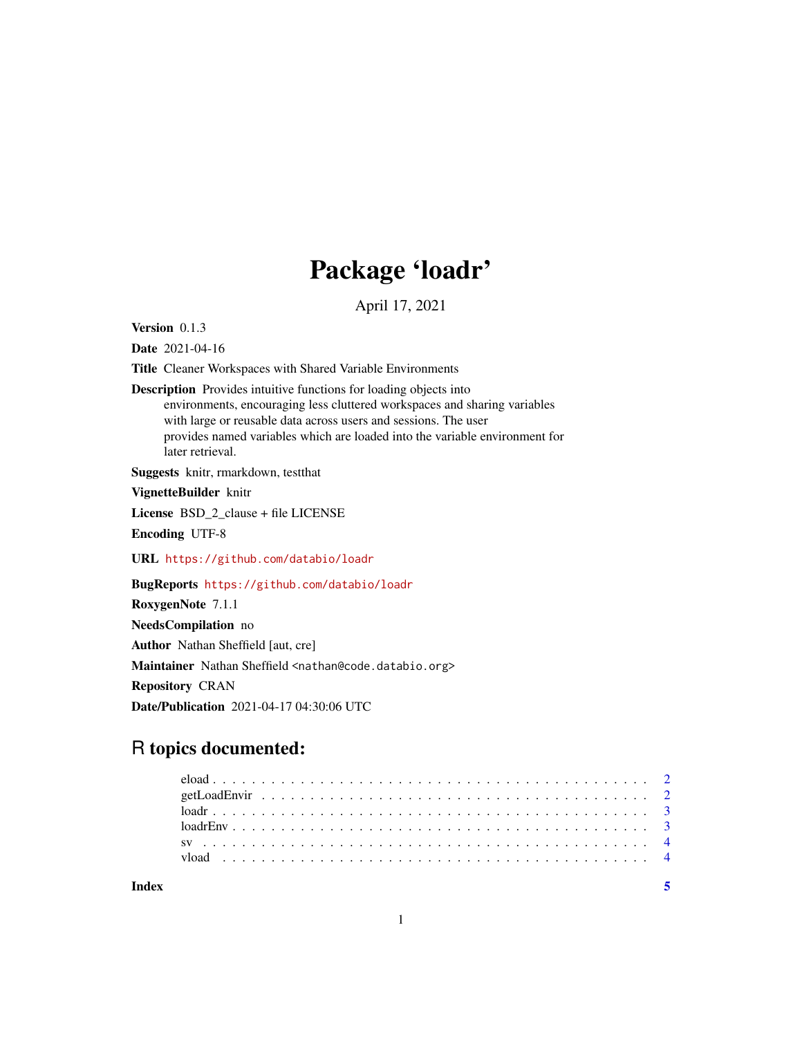## Package 'loadr'

April 17, 2021

Version 0.1.3

Date 2021-04-16

Title Cleaner Workspaces with Shared Variable Environments

Description Provides intuitive functions for loading objects into

environments, encouraging less cluttered workspaces and sharing variables with large or reusable data across users and sessions. The user provides named variables which are loaded into the variable environment for later retrieval.

Suggests knitr, rmarkdown, testthat

VignetteBuilder knitr

License BSD\_2\_clause + file LICENSE

Encoding UTF-8

URL <https://github.com/databio/loadr>

BugReports <https://github.com/databio/loadr>

RoxygenNote 7.1.1

NeedsCompilation no

Author Nathan Sheffield [aut, cre]

Maintainer Nathan Sheffield <nathan@code.databio.org>

Repository CRAN

Date/Publication 2021-04-17 04:30:06 UTC

### R topics documented: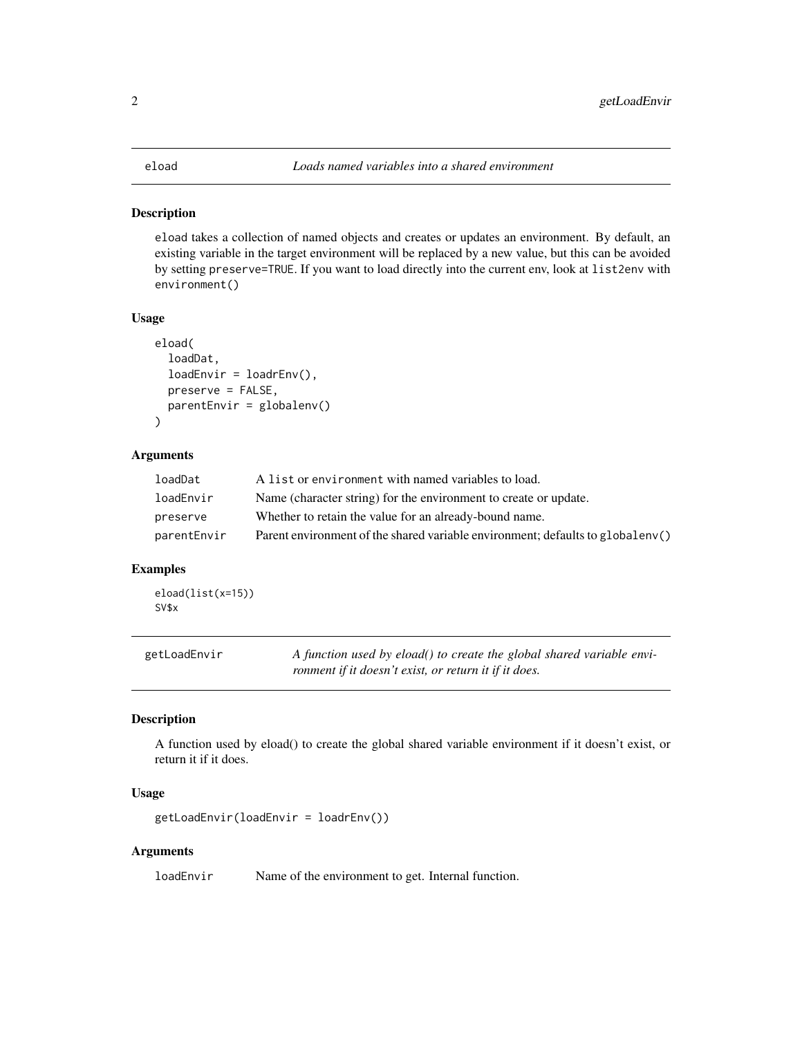#### <span id="page-1-0"></span>Description

eload takes a collection of named objects and creates or updates an environment. By default, an existing variable in the target environment will be replaced by a new value, but this can be avoided by setting preserve=TRUE. If you want to load directly into the current env, look at list2env with environment()

#### Usage

```
eload(
  loadDat,
  loadEnvir = loadrEnv(),
  preserve = FALSE,
  parentEnvir = globalenv()
\mathcal{L}
```
#### Arguments

| loadDat     | A list or environment with named variables to load.                            |
|-------------|--------------------------------------------------------------------------------|
| loadEnvir   | Name (character string) for the environment to create or update.               |
| preserve    | Whether to retain the value for an already-bound name.                         |
| parentEnvir | Parent environment of the shared variable environment; defaults to globaleny() |

#### Examples

eload(list(x=15)) SV\$x

| getLoadEnvir | A function used by eload() to create the global shared variable envi- |
|--------------|-----------------------------------------------------------------------|
|              | ronment if it doesn't exist, or return it if it does.                 |

#### Description

A function used by eload() to create the global shared variable environment if it doesn't exist, or return it if it does.

#### Usage

```
getLoadEnvir(loadEnvir = loadrEnv())
```
#### Arguments

loadEnvir Name of the environment to get. Internal function.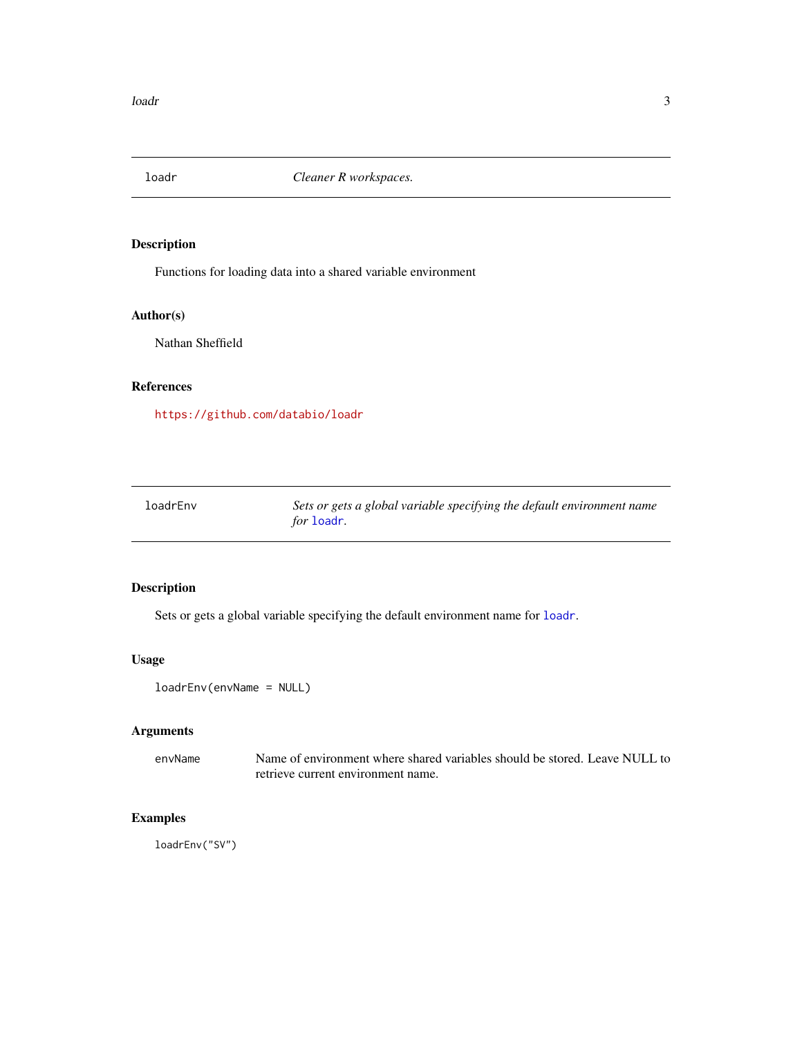<span id="page-2-1"></span><span id="page-2-0"></span>

#### Description

Functions for loading data into a shared variable environment

#### Author(s)

Nathan Sheffield

#### References

<https://github.com/databio/loadr>

loadrEnv *Sets or gets a global variable specifying the default environment name for* [loadr](#page-2-1)*.*

#### Description

Sets or gets a global variable specifying the default environment name for [loadr](#page-2-1).

#### Usage

```
loadrEnv(envName = NULL)
```
#### Arguments

envName Name of environment where shared variables should be stored. Leave NULL to retrieve current environment name.

#### Examples

loadrEnv("SV")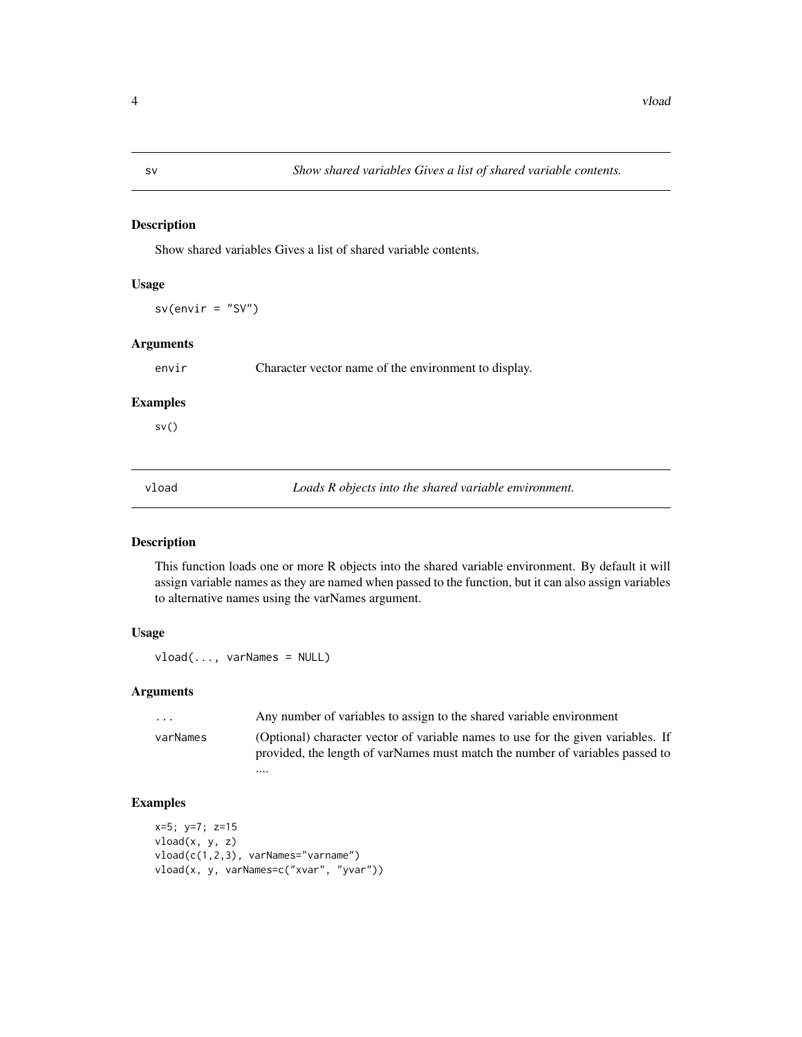<span id="page-3-0"></span>sv *Show shared variables Gives a list of shared variable contents.*

#### Description

Show shared variables Gives a list of shared variable contents.

#### Usage

 $sv(\text{envir} = "SV")$ 

#### Arguments

envir Character vector name of the environment to display.

#### Examples

sv()

vload *Loads R objects into the shared variable environment.*

#### Description

This function loads one or more R objects into the shared variable environment. By default it will assign variable names as they are named when passed to the function, but it can also assign variables to alternative names using the varNames argument.

#### Usage

vload(..., varNames = NULL)

#### Arguments

| $\cdot$  | Any number of variables to assign to the shared variable environment                                                                                              |
|----------|-------------------------------------------------------------------------------------------------------------------------------------------------------------------|
| varNames | (Optional) character vector of variable names to use for the given variables. If<br>provided, the length of varNames must match the number of variables passed to |
|          |                                                                                                                                                                   |

#### Examples

```
x=5; y=7; z=15
vload(x, y, z)
vload(c(1,2,3), varNames="varname")
vload(x, y, varNames=c("xvar", "yvar"))
```